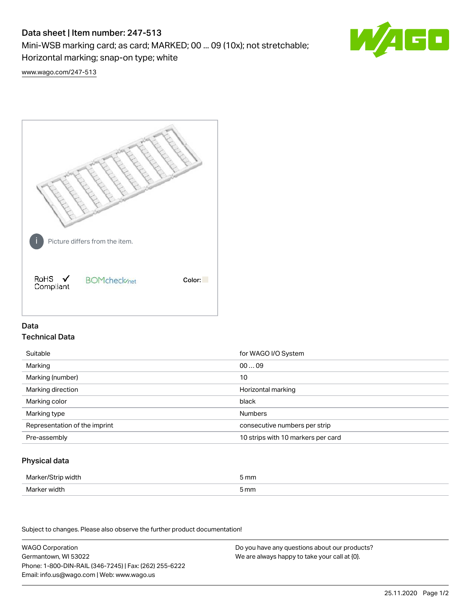# Data sheet | Item number: 247-513

Mini-WSB marking card; as card; MARKED; 00 ... 09 (10x); not stretchable;

Horizontal marking; snap-on type; white

60

[www.wago.com/247-513](http://www.wago.com/247-513)



## Data Technical Data

| Suitable                      | for WAGO I/O System                |
|-------------------------------|------------------------------------|
| Marking                       | 0009                               |
| Marking (number)              | 10                                 |
| Marking direction             | Horizontal marking                 |
| Marking color                 | black                              |
| Marking type                  | <b>Numbers</b>                     |
| Representation of the imprint | consecutive numbers per strip      |
| Pre-assembly                  | 10 strips with 10 markers per card |

## Physical data

| Marker/Strip width | i mm |
|--------------------|------|
| Marker width       | 5 mm |
| $ -$               |      |

Subject to changes. Please also observe the further product documentation!

WAGO Corporation Germantown, WI 53022 Phone: 1-800-DIN-RAIL (346-7245) | Fax: (262) 255-6222 Email: info.us@wago.com | Web: www.wago.us Do you have any questions about our products? We are always happy to take your call at {0}.